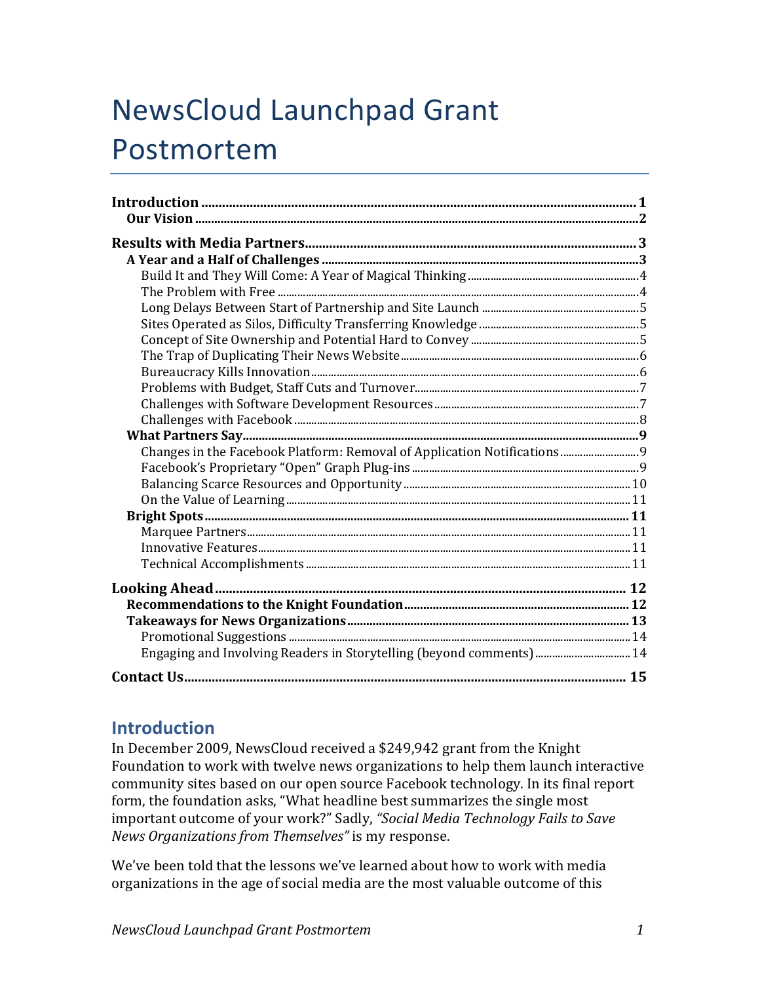# NewsCloud Launchpad Grant Postmortem

| Engaging and Involving Readers in Storytelling (beyond comments) 14 |  |
|---------------------------------------------------------------------|--|
|                                                                     |  |

# **Introduction**

In December 2009, NewsCloud received a \$249,942 grant from the Knight Foundation to work with twelve news organizations to help them launch interactive community sites based on our open source Facebook technology. In its final report form, the foundation asks, "What headline best summarizes the single most important outcome of your work?" Sadly, "Social Media Technology Fails to Save *News Organizations from Themselves"* is my response.

We've been told that the lessons we've learned about how to work with media organizations in the age of social media are the most valuable outcome of this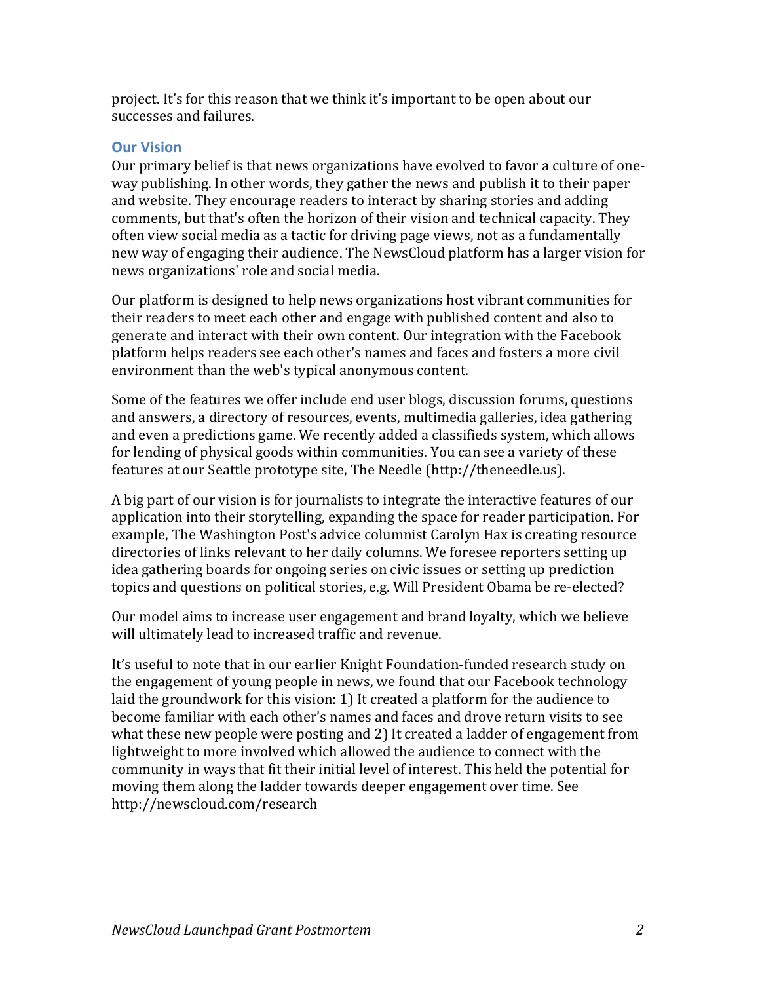project. It's for this reason that we think it's important to be open about our successes and failures.

# **Our Vision**

Our primary belief is that news organizations have evolved to favor a culture of oneway publishing. In other words, they gather the news and publish it to their paper and website. They encourage readers to interact by sharing stories and adding comments, but that's often the horizon of their vision and technical capacity. They often view social media as a tactic for driving page views, not as a fundamentally new way of engaging their audience. The NewsCloud platform has a larger vision for news organizations' role and social media.

Our platform is designed to help news organizations host vibrant communities for their readers to meet each other and engage with published content and also to generate and interact with their own content. Our integration with the Facebook platform helps readers see each other's names and faces and fosters a more civil environment than the web's typical anonymous content.

Some of the features we offer include end user blogs, discussion forums, questions and answers, a directory of resources, events, multimedia galleries, idea gathering and even a predictions game. We recently added a classifieds system, which allows for lending of physical goods within communities. You can see a variety of these features at our Seattle prototype site, The Needle (http://theneedle.us).

A big part of our vision is for journalists to integrate the interactive features of our application into their storytelling, expanding the space for reader participation. For example, The Washington Post's advice columnist Carolyn Hax is creating resource directories of links relevant to her daily columns. We foresee reporters setting up idea gathering boards for ongoing series on civic issues or setting up prediction topics and questions on political stories, e.g. Will President Obama be re-elected?

Our model aims to increase user engagement and brand loyalty, which we believe will ultimately lead to increased traffic and revenue.

It's useful to note that in our earlier Knight Foundation-funded research study on the engagement of young people in news, we found that our Facebook technology laid the groundwork for this vision: 1) It created a platform for the audience to become familiar with each other's names and faces and drove return visits to see what these new people were posting and 2) It created a ladder of engagement from lightweight to more involved which allowed the audience to connect with the community in ways that fit their initial level of interest. This held the potential for moving them along the ladder towards deeper engagement over time. See http://newscloud.com/research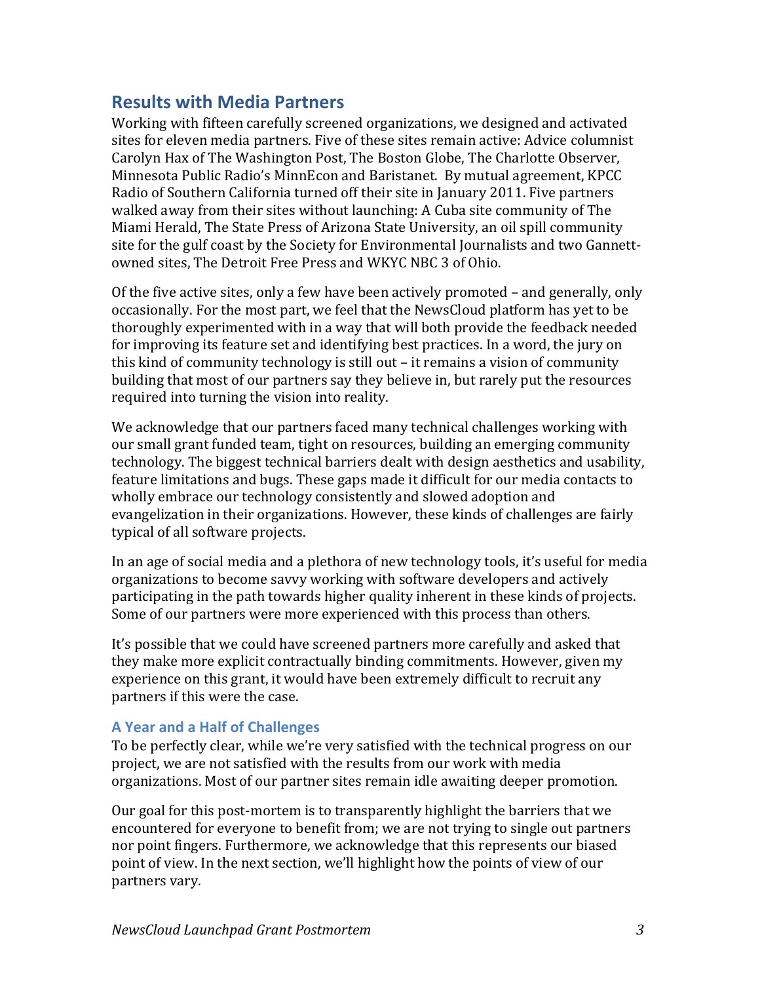# **Results with Media Partners**

Working with fifteen carefully screened organizations, we designed and activated sites for eleven media partners. Five of these sites remain active: Advice columnist Carolyn Hax of The Washington Post, The Boston Globe, The Charlotte Observer, Minnesota Public Radio's MinnEcon and Baristanet. By mutual agreement, KPCC Radio of Southern California turned off their site in January 2011. Five partners walked away from their sites without launching: A Cuba site community of The Miami Herald, The State Press of Arizona State University, an oil spill community site for the gulf coast by the Society for Environmental Journalists and two Gannettowned sites, The Detroit Free Press and WKYC NBC 3 of Ohio.

Of the five active sites, only a few have been actively promoted – and generally, only occasionally. For the most part, we feel that the NewsCloud platform has yet to be thoroughly experimented with in a way that will both provide the feedback needed for improving its feature set and identifying best practices. In a word, the jury on this kind of community technology is still out – it remains a vision of community building that most of our partners say they believe in, but rarely put the resources required into turning the vision into reality.

We acknowledge that our partners faced many technical challenges working with  $\blacksquare$ our small grant funded team, tight on resources, building an emerging community technology. The biggest technical barriers dealt with design aesthetics and usability, feature limitations and bugs. These gaps made it difficult for our media contacts to wholly embrace our technology consistently and slowed adoption and evangelization in their organizations. However, these kinds of challenges are fairly typical of all software projects.

In an age of social media and a plethora of new technology tools, it's useful for media organizations to become savvy working with software developers and actively participating in the path towards higher quality inherent in these kinds of projects. Some of our partners were more experienced with this process than others.

It's possible that we could have screened partners more carefully and asked that they make more explicit contractually binding commitments. However, given my experience on this grant, it would have been extremely difficult to recruit any partners if this were the case.

# **A Year and a Half of Challenges**

To be perfectly clear, while we're very satisfied with the technical progress on our project, we are not satisfied with the results from our work with media organizations. Most of our partner sites remain idle awaiting deeper promotion.

Our goal for this post-mortem is to transparently highlight the barriers that we encountered for everyone to benefit from; we are not trying to single out partners nor point fingers. Furthermore, we acknowledge that this represents our biased point of view. In the next section, we'll highlight how the points of view of our partners vary.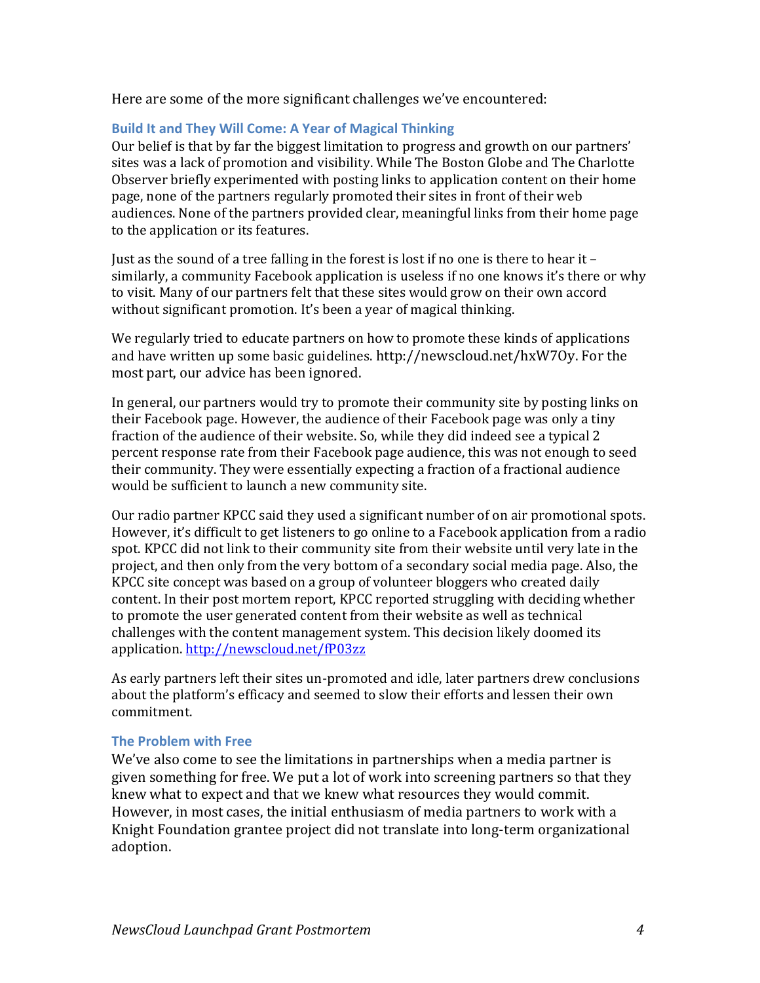Here are some of the more significant challenges we've encountered:

#### Build It and They Will Come: A Year of Magical Thinking

Our belief is that by far the biggest limitation to progress and growth on our partners' sites was a lack of promotion and visibility. While The Boston Globe and The Charlotte Observer briefly experimented with posting links to application content on their home page, none of the partners regularly promoted their sites in front of their web audiences. None of the partners provided clear, meaningful links from their home page to the application or its features.

Just as the sound of a tree falling in the forest is lost if no one is there to hear it – similarly, a community Facebook application is useless if no one knows it's there or why to visit. Many of our partners felt that these sites would grow on their own accord without significant promotion. It's been a year of magical thinking.

We regularly tried to educate partners on how to promote these kinds of applications and have written up some basic guidelines. http://newscloud.net/hxW7Oy. For the most part, our advice has been ignored.

In general, our partners would try to promote their community site by posting links on their Facebook page. However, the audience of their Facebook page was only a tiny fraction of the audience of their website. So, while they did indeed see a typical 2 percent response rate from their Facebook page audience, this was not enough to seed their community. They were essentially expecting a fraction of a fractional audience would be sufficient to launch a new community site.

Our radio partner KPCC said they used a significant number of on air promotional spots. However, it's difficult to get listeners to go online to a Facebook application from a radio spot. KPCC did not link to their community site from their website until very late in the project, and then only from the very bottom of a secondary social media page. Also, the KPCC site concept was based on a group of volunteer bloggers who created daily content. In their post mortem report, KPCC reported struggling with deciding whether to promote the user generated content from their website as well as technical challenges with the content management system. This decision likely doomed its application. http://newscloud.net/fP03zz

As early partners left their sites un-promoted and idle, later partners drew conclusions about the platform's efficacy and seemed to slow their efforts and lessen their own commitment.

#### **The Problem with Free**

We've also come to see the limitations in partnerships when a media partner is given something for free. We put a lot of work into screening partners so that they knew what to expect and that we knew what resources they would commit. However, in most cases, the initial enthusiasm of media partners to work with a Knight Foundation grantee project did not translate into long-term organizational adoption.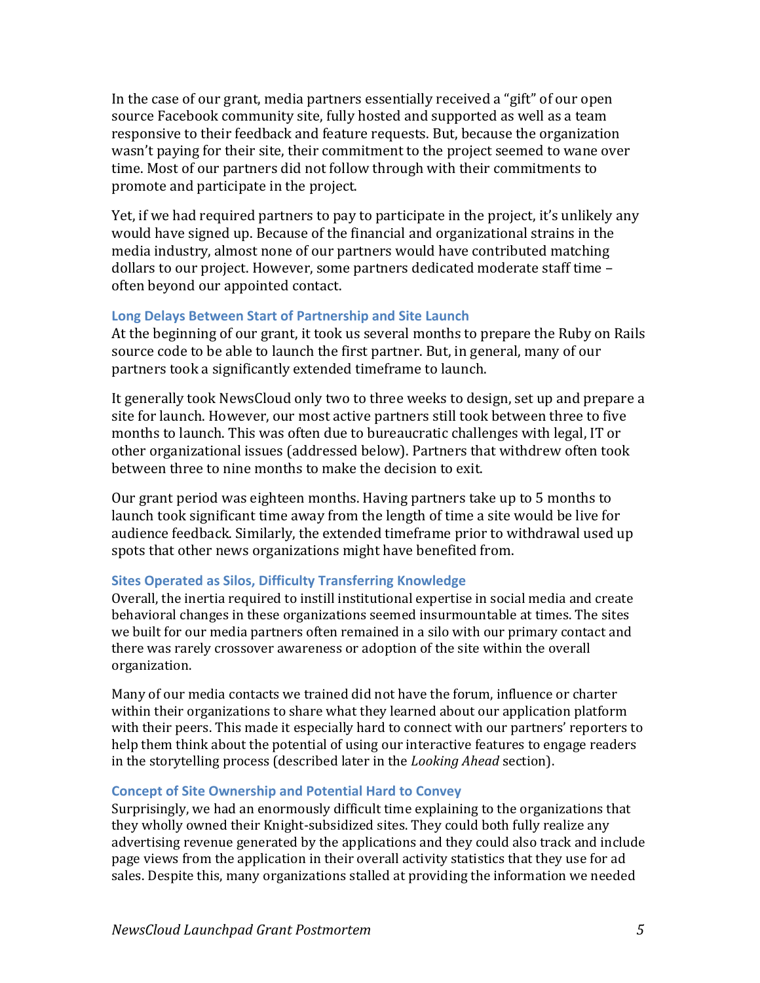In the case of our grant, media partners essentially received a "gift" of our open source Facebook community site, fully hosted and supported as well as a team responsive to their feedback and feature requests. But, because the organization wasn't paying for their site, their commitment to the project seemed to wane over time. Most of our partners did not follow through with their commitments to promote and participate in the project.

Yet, if we had required partners to pay to participate in the project, it's unlikely any would have signed up. Because of the financial and organizational strains in the media industry, almost none of our partners would have contributed matching dollars to our project. However, some partners dedicated moderate staff time – often beyond our appointed contact.

#### Long Delays Between Start of Partnership and Site Launch

At the beginning of our grant, it took us several months to prepare the Ruby on Rails source code to be able to launch the first partner. But, in general, many of our partners took a significantly extended timeframe to launch.

It generally took NewsCloud only two to three weeks to design, set up and prepare a site for launch. However, our most active partners still took between three to five months to launch. This was often due to bureaucratic challenges with legal, IT or other organizational issues (addressed below). Partners that withdrew often took between three to nine months to make the decision to exit.

Our grant period was eighteen months. Having partners take up to 5 months to launch took significant time away from the length of time a site would be live for audience feedback. Similarly, the extended timeframe prior to withdrawal used up spots that other news organizations might have benefited from.

#### **Sites Operated as Silos, Difficulty Transferring Knowledge**

Overall, the inertia required to instill institutional expertise in social media and create behavioral changes in these organizations seemed insurmountable at times. The sites we built for our media partners often remained in a silo with our primary contact and there was rarely crossover awareness or adoption of the site within the overall organization.

Many of our media contacts we trained did not have the forum, influence or charter within their organizations to share what they learned about our application platform with their peers. This made it especially hard to connect with our partners' reporters to help them think about the potential of using our interactive features to engage readers in the storytelling process (described later in the *Looking Ahead* section).

#### **Concept of Site Ownership and Potential Hard to Convey**

Surprisingly, we had an enormously difficult time explaining to the organizations that they wholly owned their Knight-subsidized sites. They could both fully realize any advertising revenue generated by the applications and they could also track and include page views from the application in their overall activity statistics that they use for ad sales. Despite this, many organizations stalled at providing the information we needed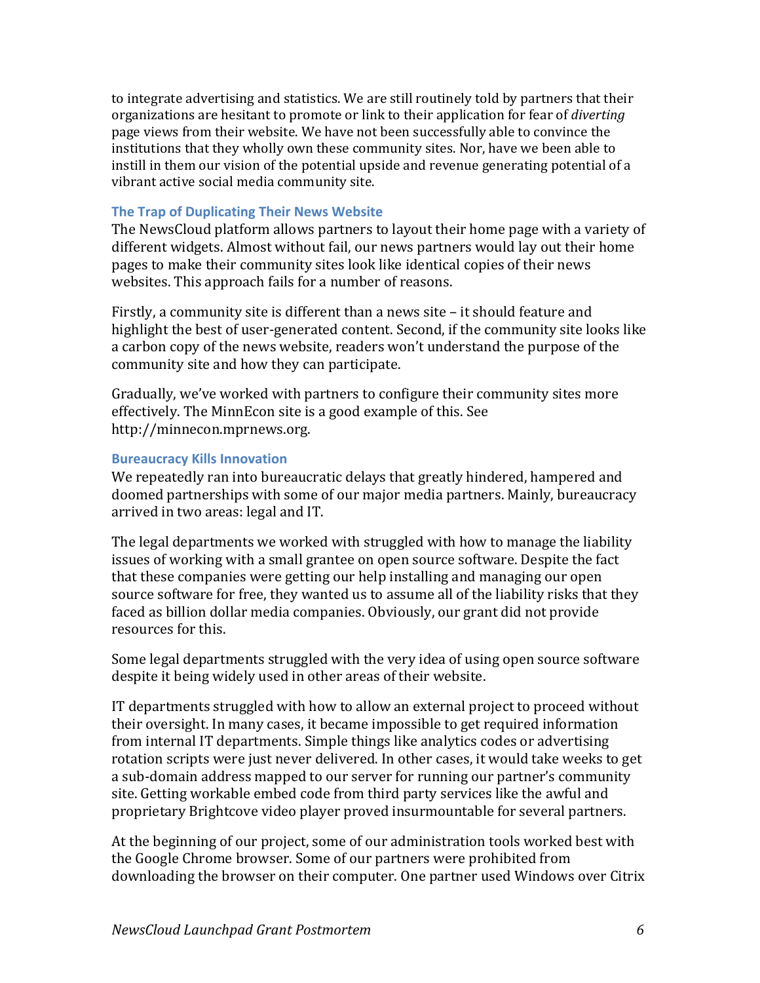to integrate advertising and statistics. We are still routinely told by partners that their organizations are hesitant to promote or link to their application for fear of *diverting* page views from their website. We have not been successfully able to convince the institutions that they wholly own these community sites. Nor, have we been able to instill in them our vision of the potential upside and revenue generating potential of a vibrant active social media community site.

#### **The Trap of Duplicating Their News Website**

The NewsCloud platform allows partners to layout their home page with a variety of different widgets. Almost without fail, our news partners would lay out their home pages to make their community sites look like identical copies of their news websites. This approach fails for a number of reasons.

Firstly, a community site is different than a news site – it should feature and highlight the best of user-generated content. Second, if the community site looks like a carbon copy of the news website, readers won't understand the purpose of the community site and how they can participate.

Gradually, we've worked with partners to configure their community sites more effectively. The MinnEcon site is a good example of this. See http://minnecon.mprnews.org.

#### **Bureaucracy Kills Innovation**

We repeatedly ran into bureaucratic delays that greatly hindered, hampered and doomed partnerships with some of our major media partners. Mainly, bureaucracy arrived in two areas: legal and IT.

The legal departments we worked with struggled with how to manage the liability issues of working with a small grantee on open source software. Despite the fact that these companies were getting our help installing and managing our open source software for free, they wanted us to assume all of the liability risks that they faced as billion dollar media companies. Obviously, our grant did not provide resources for this.

Some legal departments struggled with the very idea of using open source software despite it being widely used in other areas of their website.

IT departments struggled with how to allow an external project to proceed without their oversight. In many cases, it became impossible to get required information from internal IT departments. Simple things like analytics codes or advertising rotation scripts were just never delivered. In other cases, it would take weeks to get a sub-domain address mapped to our server for running our partner's community site. Getting workable embed code from third party services like the awful and proprietary Brightcove video player proved insurmountable for several partners.

At the beginning of our project, some of our administration tools worked best with the Google Chrome browser. Some of our partners were prohibited from downloading the browser on their computer. One partner used Windows over Citrix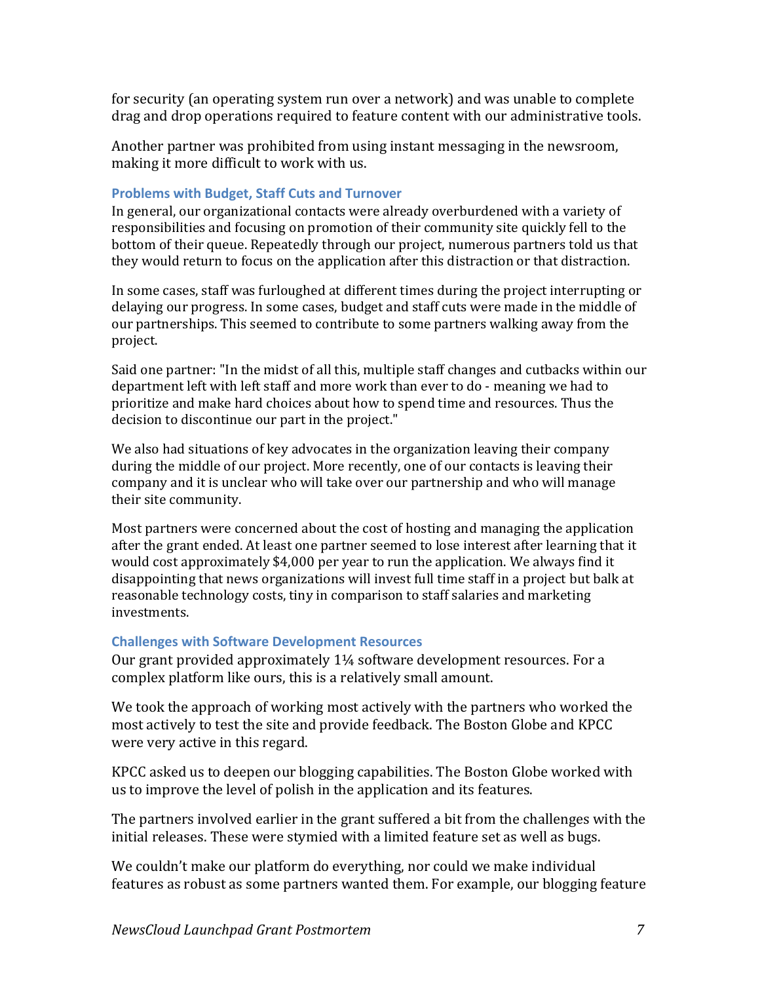for security (an operating system run over a network) and was unable to complete drag and drop operations required to feature content with our administrative tools.

Another partner was prohibited from using instant messaging in the newsroom, making it more difficult to work with us.

#### **Problems with Budget, Staff Cuts and Turnover**

In general, our organizational contacts were already overburdened with a variety of responsibilities and focusing on promotion of their community site quickly fell to the bottom of their queue. Repeatedly through our project, numerous partners told us that they would return to focus on the application after this distraction or that distraction.

In some cases, staff was furloughed at different times during the project interrupting or delaying our progress. In some cases, budget and staff cuts were made in the middle of our partnerships. This seemed to contribute to some partners walking away from the project.

Said one partner: "In the midst of all this, multiple staff changes and cutbacks within our department left with left staff and more work than ever to do - meaning we had to prioritize and make hard choices about how to spend time and resources. Thus the decision to discontinue our part in the project."

We also had situations of key advocates in the organization leaving their company during the middle of our project. More recently, one of our contacts is leaving their company and it is unclear who will take over our partnership and who will manage their site community.

Most partners were concerned about the cost of hosting and managing the application after the grant ended. At least one partner seemed to lose interest after learning that it would cost approximately \$4,000 per year to run the application. We always find it disappointing that news organizations will invest full time staff in a project but balk at reasonable technology costs, tiny in comparison to staff salaries and marketing investments.

#### **Challenges with Software Development Resources**

Our grant provided approximately  $1\frac{1}{4}$  software development resources. For a complex platform like ours, this is a relatively small amount.

We took the approach of working most actively with the partners who worked the most actively to test the site and provide feedback. The Boston Globe and KPCC were very active in this regard.

KPCC asked us to deepen our blogging capabilities. The Boston Globe worked with us to improve the level of polish in the application and its features.

The partners involved earlier in the grant suffered a bit from the challenges with the initial releases. These were stymied with a limited feature set as well as bugs.

We couldn't make our platform do everything, nor could we make individual features as robust as some partners wanted them. For example, our blogging feature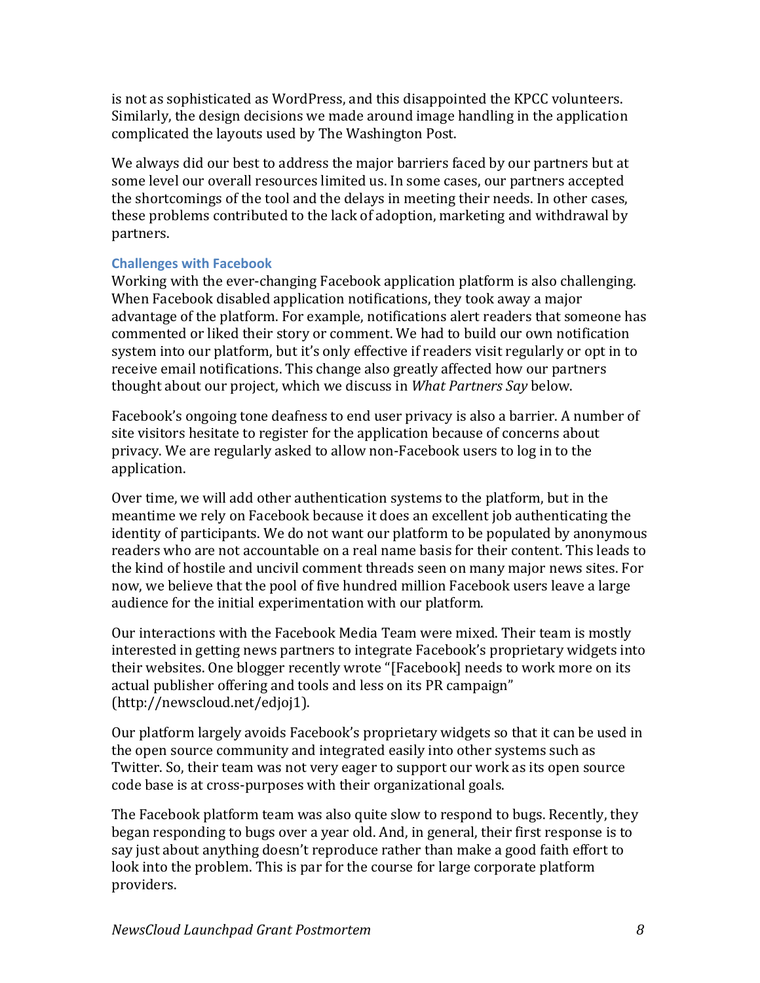is not as sophisticated as WordPress, and this disappointed the KPCC volunteers. Similarly, the design decisions we made around image handling in the application complicated the layouts used by The Washington Post.

We always did our best to address the major barriers faced by our partners but at some level our overall resources limited us. In some cases, our partners accepted the shortcomings of the tool and the delays in meeting their needs. In other cases, these problems contributed to the lack of adoption, marketing and withdrawal by partners.

# **Challenges with Facebook**

Working with the ever-changing Facebook application platform is also challenging. When Facebook disabled application notifications, they took away a major advantage of the platform. For example, notifications alert readers that someone has commented or liked their story or comment. We had to build our own notification system into our platform, but it's only effective if readers visit regularly or opt in to receive email notifications. This change also greatly affected how our partners thought about our project, which we discuss in *What Partners Say* below.

Facebook's ongoing tone deafness to end user privacy is also a barrier. A number of site visitors hesitate to register for the application because of concerns about privacy. We are regularly asked to allow non-Facebook users to log in to the application.

Over time, we will add other authentication systems to the platform, but in the meantime we rely on Facebook because it does an excellent job authenticating the identity of participants. We do not want our platform to be populated by anonymous readers who are not accountable on a real name basis for their content. This leads to the kind of hostile and uncivil comment threads seen on many major news sites. For now, we believe that the pool of five hundred million Facebook users leave a large audience for the initial experimentation with our platform.

Our interactions with the Facebook Media Team were mixed. Their team is mostly interested in getting news partners to integrate Facebook's proprietary widgets into their websites. One blogger recently wrote "[Facebook] needs to work more on its actual publisher offering and tools and less on its PR campaign" (http://newscloud.net/edjoj1).

Our platform largely avoids Facebook's proprietary widgets so that it can be used in the open source community and integrated easily into other systems such as Twitter. So, their team was not very eager to support our work as its open source code base is at cross-purposes with their organizational goals.

The Facebook platform team was also quite slow to respond to bugs. Recently, they began responding to bugs over a year old. And, in general, their first response is to say just about anything doesn't reproduce rather than make a good faith effort to look into the problem. This is par for the course for large corporate platform providers.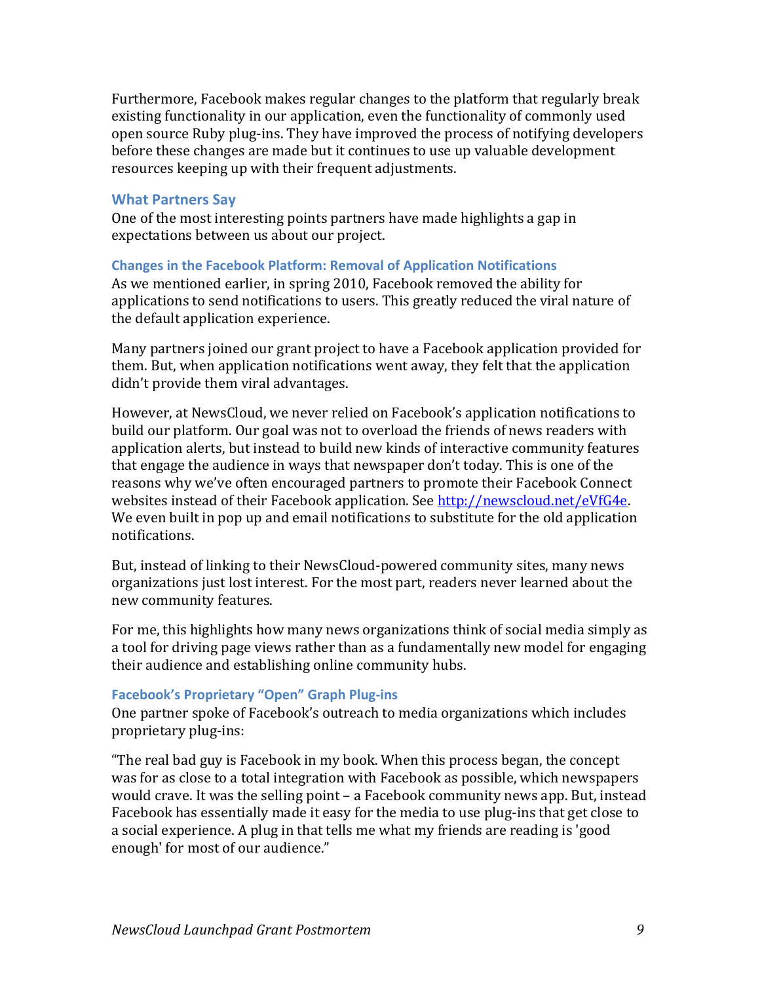Furthermore, Facebook makes regular changes to the platform that regularly break existing functionality in our application, even the functionality of commonly used open source Ruby plug-ins. They have improved the process of notifying developers before these changes are made but it continues to use up valuable development resources keeping up with their frequent adjustments.

#### **What Partners Say**

One of the most interesting points partners have made highlights a gap in expectations between us about our project.

### **Changes in the Facebook Platform: Removal of Application Notifications**

As we mentioned earlier, in spring 2010, Facebook removed the ability for applications to send notifications to users. This greatly reduced the viral nature of the default application experience.

Many partners joined our grant project to have a Facebook application provided for them. But, when application notifications went away, they felt that the application didn't provide them viral advantages.

However, at NewsCloud, we never relied on Facebook's application notifications to build our platform. Our goal was not to overload the friends of news readers with application alerts, but instead to build new kinds of interactive community features that engage the audience in ways that newspaper don't today. This is one of the reasons why we've often encouraged partners to promote their Facebook Connect websites instead of their Facebook application. See http://newscloud.net/eVfG4e. We even built in pop up and email notifications to substitute for the old application notifications.

But, instead of linking to their NewsCloud-powered community sites, many news organizations just lost interest. For the most part, readers never learned about the new community features.

For me, this highlights how many news organizations think of social media simply as a tool for driving page views rather than as a fundamentally new model for engaging their audience and establishing online community hubs.

#### **Facebook's Proprietary "Open" Graph Plug-ins**

One partner spoke of Facebook's outreach to media organizations which includes proprietary plug-ins:

"The real bad guy is Facebook in my book. When this process began, the concept was for as close to a total integration with Facebook as possible, which newspapers would crave. It was the selling point – a Facebook community news app. But, instead Facebook has essentially made it easy for the media to use plug-ins that get close to a social experience. A plug in that tells me what my friends are reading is 'good enough' for most of our audience."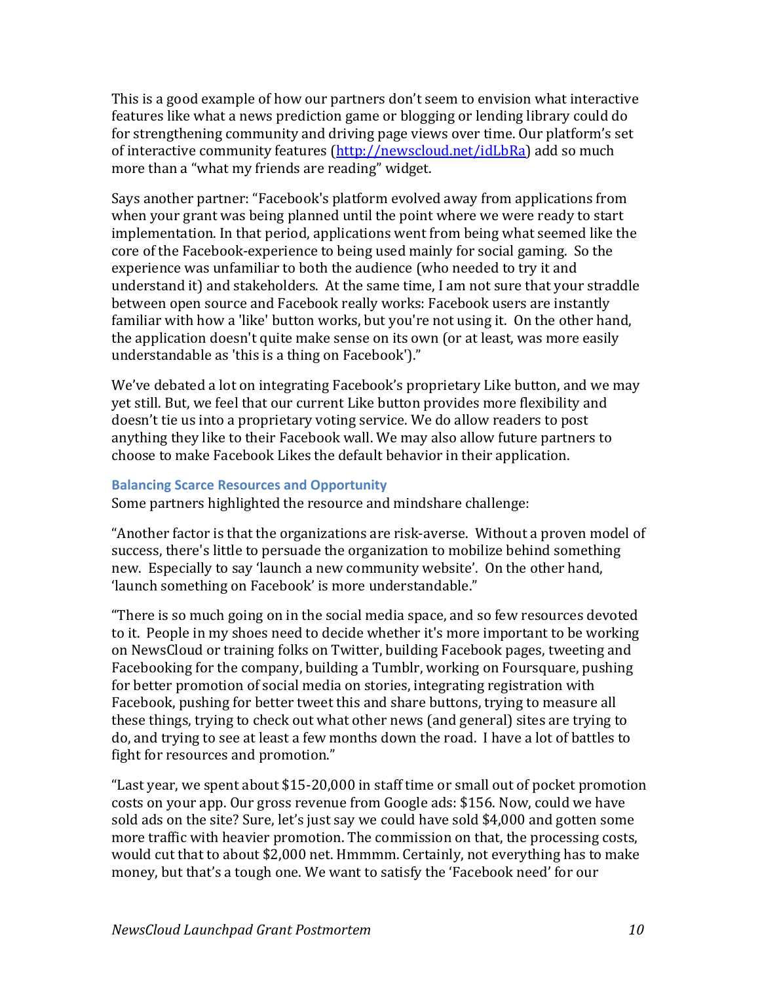This is a good example of how our partners don't seem to envision what interactive features like what a news prediction game or blogging or lending library could do for strengthening community and driving page views over time. Our platform's set of interactive community features (http://newscloud.net/idLbRa) add so much more than a "what my friends are reading" widget.

Says another partner: "Facebook's platform evolved away from applications from when your grant was being planned until the point where we were ready to start implementation. In that period, applications went from being what seemed like the core of the Facebook-experience to being used mainly for social gaming. So the experience was unfamiliar to both the audience (who needed to try it and understand it) and stakeholders. At the same time, I am not sure that your straddle between open source and Facebook really works: Facebook users are instantly familiar with how a 'like' button works, but you're not using it. On the other hand, the application doesn't quite make sense on its own (or at least, was more easily understandable as 'this is a thing on Facebook')."

We've debated a lot on integrating Facebook's proprietary Like button, and we may yet still. But, we feel that our current Like button provides more flexibility and doesn't tie us into a proprietary voting service. We do allow readers to post anything they like to their Facebook wall. We may also allow future partners to choose to make Facebook Likes the default behavior in their application.

#### **Balancing Scarce Resources and Opportunity**

Some partners highlighted the resource and mindshare challenge:

"Another factor is that the organizations are risk-averse. Without a proven model of success, there's little to persuade the organization to mobilize behind something new. Especially to say 'launch a new community website'. On the other hand, 'launch something on Facebook' is more understandable."

"There is so much going on in the social media space, and so few resources devoted to it. People in my shoes need to decide whether it's more important to be working on NewsCloud or training folks on Twitter, building Facebook pages, tweeting and Facebooking for the company, building a Tumblr, working on Foursquare, pushing for better promotion of social media on stories, integrating registration with Facebook, pushing for better tweet this and share buttons, trying to measure all these things, trying to check out what other news (and general) sites are trying to do, and trying to see at least a few months down the road. I have a lot of battles to fight for resources and promotion."

"Last year, we spent about  $$15-20,000$  in staff time or small out of pocket promotion costs on your app. Our gross revenue from Google ads: \$156. Now, could we have sold ads on the site? Sure, let's just say we could have sold \$4,000 and gotten some more traffic with heavier promotion. The commission on that, the processing costs, would cut that to about \$2,000 net. Hmmmm. Certainly, not everything has to make money, but that's a tough one. We want to satisfy the 'Facebook need' for our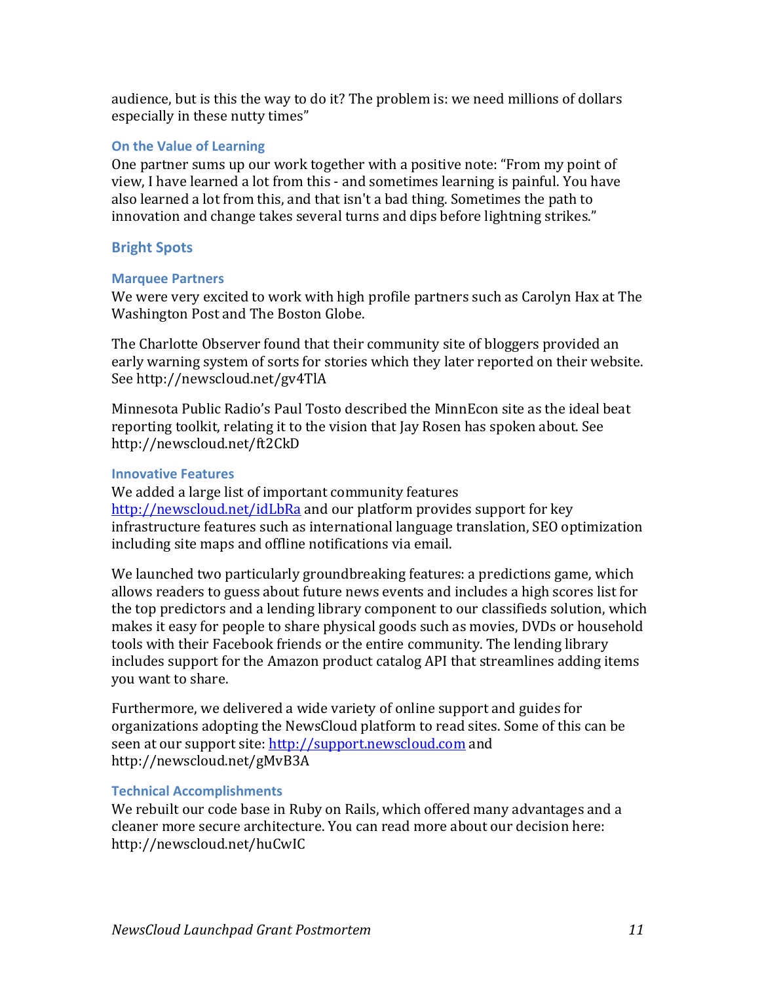audience, but is this the way to do it? The problem is: we need millions of dollars especially in these nutty times"

### **On the Value of Learning**

One partner sums up our work together with a positive note: "From my point of view, I have learned a lot from this - and sometimes learning is painful. You have also learned a lot from this, and that isn't a bad thing. Sometimes the path to innovation and change takes several turns and dips before lightning strikes."

### **Bright Spots**

#### **Marquee Partners**

We were very excited to work with high profile partners such as Carolyn Hax at The Washington Post and The Boston Globe.

The Charlotte Observer found that their community site of bloggers provided an early warning system of sorts for stories which they later reported on their website. See http://newscloud.net/gv4TlA

Minnesota Public Radio's Paul Tosto described the MinnEcon site as the ideal beat reporting toolkit, relating it to the vision that Jay Rosen has spoken about. See http://newscloud.net/ft2CkD

#### **Innovative Features**

We added a large list of important community features http://newscloud.net/idLbRa and our platform provides support for key infrastructure features such as international language translation, SEO optimization including site maps and offline notifications via email.

We launched two particularly groundbreaking features: a predictions game, which allows readers to guess about future news events and includes a high scores list for the top predictors and a lending library component to our classifieds solution, which makes it easy for people to share physical goods such as movies, DVDs or household tools with their Facebook friends or the entire community. The lending library includes support for the Amazon product catalog API that streamlines adding items you want to share.

Furthermore, we delivered a wide variety of online support and guides for organizations adopting the NewsCloud platform to read sites. Some of this can be seen at our support site: http://support.newscloud.com and http://newscloud.net/gMvB3A

# **Technical Accomplishments**

We rebuilt our code base in Ruby on Rails, which offered many advantages and a cleaner more secure architecture. You can read more about our decision here: http://newscloud.net/huCwIC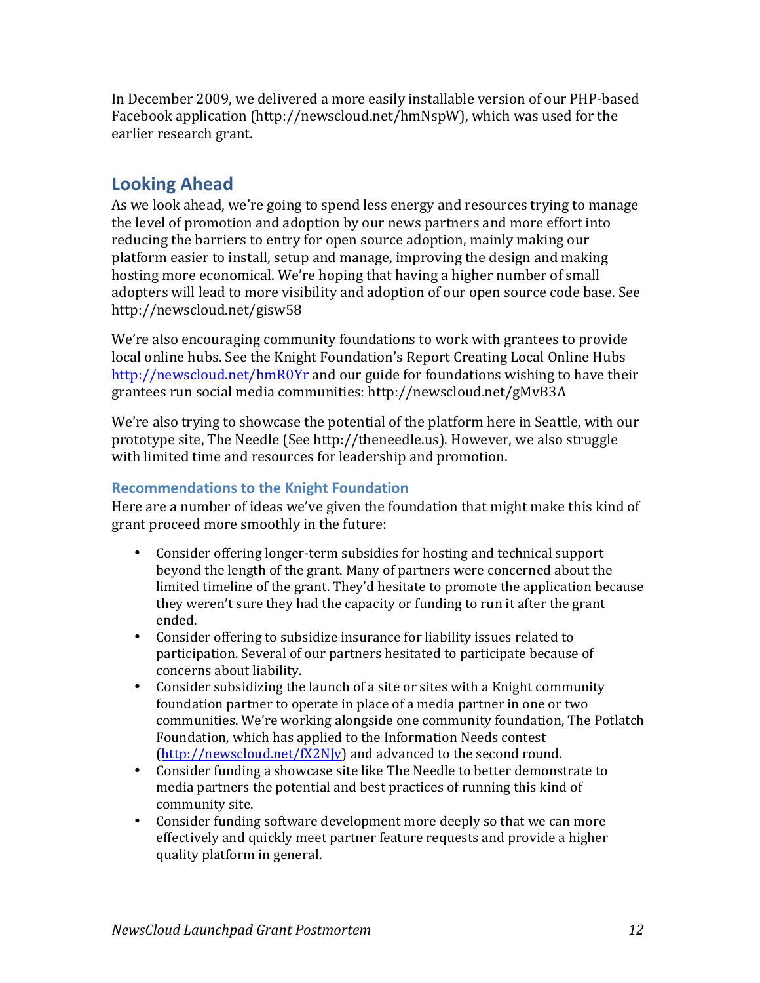In December 2009, we delivered a more easily installable version of our PHP-based Facebook application (http://newscloud.net/hmNspW), which was used for the earlier research grant.

# **Looking\*Ahead**

As we look ahead, we're going to spend less energy and resources trying to manage the level of promotion and adoption by our news partners and more effort into reducing the barriers to entry for open source adoption, mainly making our platform easier to install, setup and manage, improving the design and making hosting more economical. We're hoping that having a higher number of small adopters will lead to more visibility and adoption of our open source code base. See http://newscloud.net/gisw58

We're also encouraging community foundations to work with grantees to provide local online hubs. See the Knight Foundation's Report Creating Local Online Hubs http://newscloud.net/hmR0Yr and our guide for foundations wishing to have their grantees run social media communities: http://newscloud.net/gMvB3A

We're also trying to showcase the potential of the platform here in Seattle, with our prototype site, The Needle (See http://theneedle.us). However, we also struggle with limited time and resources for leadership and promotion.

# **Recommendations to the Knight Foundation**

Here are a number of ideas we've given the foundation that might make this kind of grant proceed more smoothly in the future:

- Consider offering longer-term subsidies for hosting and technical support beyond the length of the grant. Many of partners were concerned about the limited timeline of the grant. They'd hesitate to promote the application because they weren't sure they had the capacity or funding to run it after the grant ended.
- Consider offering to subsidize insurance for liability issues related to participation. Several of our partners hesitated to participate because of concerns about liability.
- Consider subsidizing the launch of a site or sites with a Knight community foundation partner to operate in place of a media partner in one or two communities. We're working alongside one community foundation, The Potlatch Foundation, which has applied to the Information Needs contest  $(http://newscloud.net/fX2Nly)$  and advanced to the second round.
- Consider funding a showcase site like The Needle to better demonstrate to  $\blacksquare$ media partners the potential and best practices of running this kind of community site.
- Consider funding software development more deeply so that we can more effectively and quickly meet partner feature requests and provide a higher quality platform in general.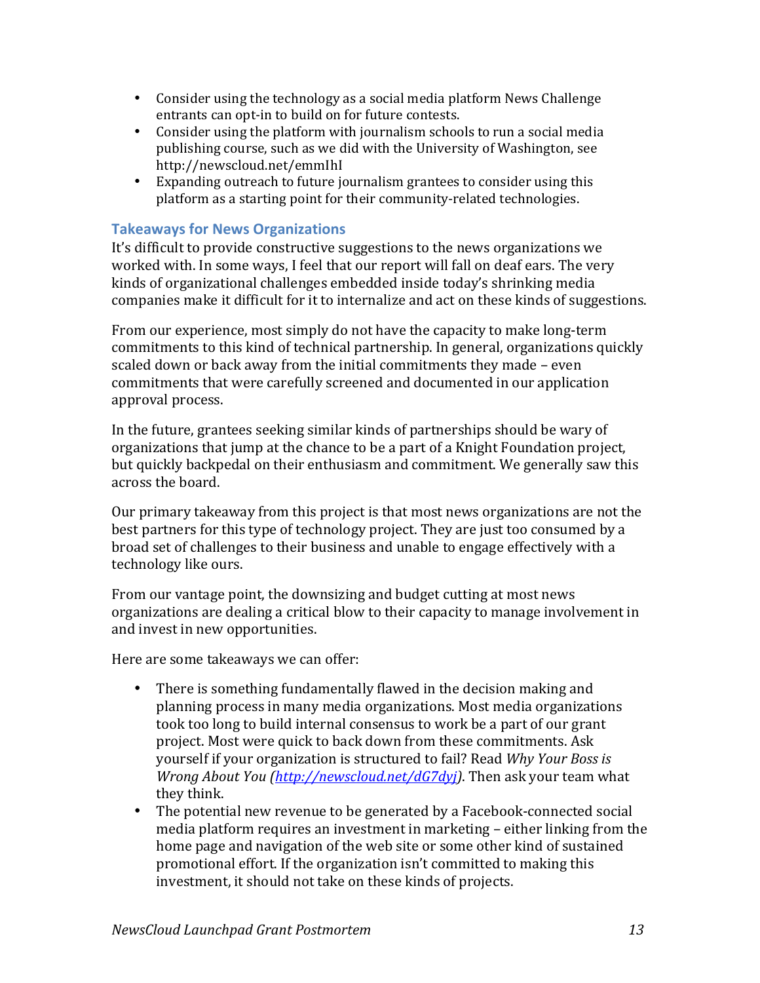- Consider using the technology as a social media platform News Challenge entrants can opt-in to build on for future contests.
- Consider using the platform with journalism schools to run a social media publishing course, such as we did with the University of Washington, see http://newscloud.net/emmIhI
- Expanding outreach to future journalism grantees to consider using this platform as a starting point for their community-related technologies.

# **Takeaways for News Organizations**

It's difficult to provide constructive suggestions to the news organizations we worked with. In some ways, I feel that our report will fall on deaf ears. The very kinds of organizational challenges embedded inside today's shrinking media companies make it difficult for it to internalize and act on these kinds of suggestions.

From our experience, most simply do not have the capacity to make long-term commitments to this kind of technical partnership. In general, organizations quickly scaled down or back away from the initial commitments they made – even commitments that were carefully screened and documented in our application approval process.

In the future, grantees seeking similar kinds of partnerships should be wary of organizations that jump at the chance to be a part of a Knight Foundation project, but quickly backpedal on their enthusiasm and commitment. We generally saw this across the board.

Our primary takeaway from this project is that most news organizations are not the best partners for this type of technology project. They are just too consumed by a broad set of challenges to their business and unable to engage effectively with a technology like ours.

From our vantage point, the downsizing and budget cutting at most news organizations are dealing a critical blow to their capacity to manage involvement in and invest in new opportunities.

Here are some takeaways we can offer:

- There is something fundamentally flawed in the decision making and planning process in many media organizations. Most media organizations took too long to build internal consensus to work be a part of our grant project. Most were quick to back down from these commitments. Ask yourself if your organization is structured to fail? Read *Why Your Boss is Wrong About You (http://newscloud.net/dG7dyj)*. Then ask your team what they think.
- The potential new revenue to be generated by a Facebook-connected social media platform requires an investment in marketing – either linking from the home page and navigation of the web site or some other kind of sustained promotional effort. If the organization isn't committed to making this investment, it should not take on these kinds of projects.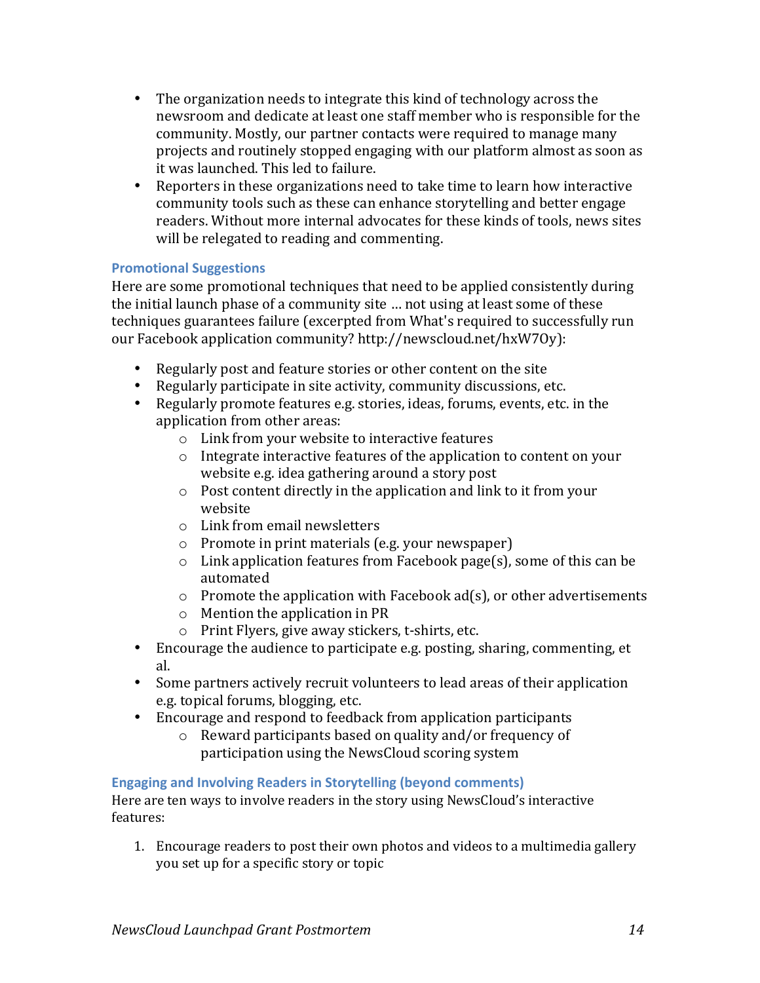- The organization needs to integrate this kind of technology across the newsroom and dedicate at least one staff member who is responsible for the community. Mostly, our partner contacts were required to manage many projects and routinely stopped engaging with our platform almost as soon as it was launched. This led to failure.
- Reporters in these organizations need to take time to learn how interactive community tools such as these can enhance storytelling and better engage readers. Without more internal advocates for these kinds of tools, news sites will be relegated to reading and commenting.

# **Promotional Suggestions**

Here are some promotional techniques that need to be applied consistently during the initial launch phase of a community site ... not using at least some of these techniques guarantees failure (excerpted from What's required to successfully run our Facebook application community? http://newscloud.net/hxW7Oy):

- Regularly post and feature stories or other content on the site
- Regularly participate in site activity, community discussions, etc.
- Regularly promote features e.g. stories, ideas, forums, events, etc. in the application from other areas:
	- $\circ$  Link from your website to interactive features
	- $\circ$  Integrate interactive features of the application to content on your website e.g. idea gathering around a story post
	- $\circ$  Post content directly in the application and link to it from your website
	- $\circ$  Link from email newsletters
	- $\circ$  Promote in print materials (e.g. your newspaper)
	- $\circ$  Link application features from Facebook page(s), some of this can be automated
	- $\circ$  Promote the application with Facebook ad(s), or other advertisements
	- $\circ$  Mention the application in PR
	- $\circ$  Print Flyers, give away stickers, t-shirts, etc.
- Encourage the audience to participate e.g. posting, sharing, commenting, et al.
- Some partners actively recruit volunteers to lead areas of their application e.g. topical forums, blogging, etc.
- Encourage and respond to feedback from application participants
	- $\circ$  Reward participants based on quality and/or frequency of participation using the NewsCloud scoring system

# **Engaging and Involving Readers in Storytelling (beyond comments)**

Here are ten ways to involve readers in the story using NewsCloud's interactive features:

1. Encourage readers to post their own photos and videos to a multimedia gallery you set up for a specific story or topic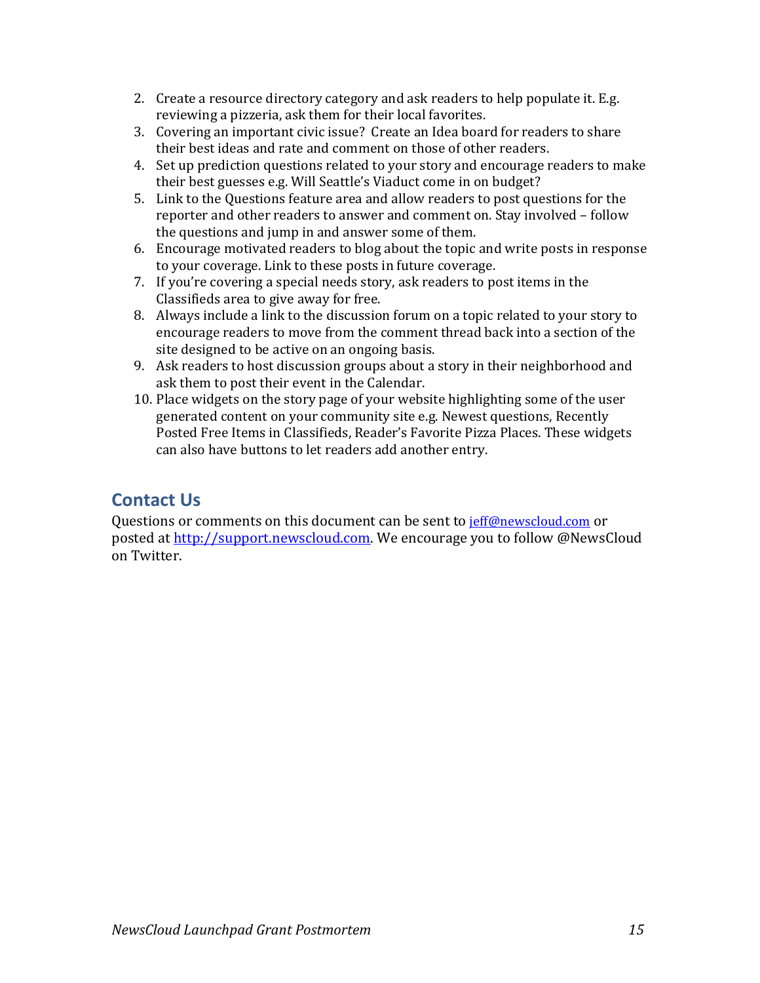- 2. Create a resource directory category and ask readers to help populate it. E.g. reviewing a pizzeria, ask them for their local favorites.
- 3. Covering an important civic issue? Create an Idea board for readers to share their best ideas and rate and comment on those of other readers.
- 4. Set up prediction questions related to your story and encourage readers to make their best guesses e.g. Will Seattle's Viaduct come in on budget?
- 5. Link to the Questions feature area and allow readers to post questions for the reporter and other readers to answer and comment on. Stay involved – follow the questions and jump in and answer some of them.
- 6. Encourage motivated readers to blog about the topic and write posts in response to your coverage. Link to these posts in future coverage.
- 7. If you're covering a special needs story, ask readers to post items in the Classifieds area to give away for free.
- 8. Always include a link to the discussion forum on a topic related to your story to encourage readers to move from the comment thread back into a section of the site designed to be active on an ongoing basis.
- 9. Ask readers to host discussion groups about a story in their neighborhood and ask them to post their event in the Calendar.
- 10. Place widgets on the story page of your website highlighting some of the user generated content on your community site e.g. Newest questions, Recently Posted Free Items in Classifieds, Reader's Favorite Pizza Places. These widgets can also have buttons to let readers add another entry.

# **Contact\*Us**

Questions or comments on this document can be sent to jeff@newscloud.com or posted at http://support.newscloud.com. We encourage you to follow @NewsCloud on!Twitter.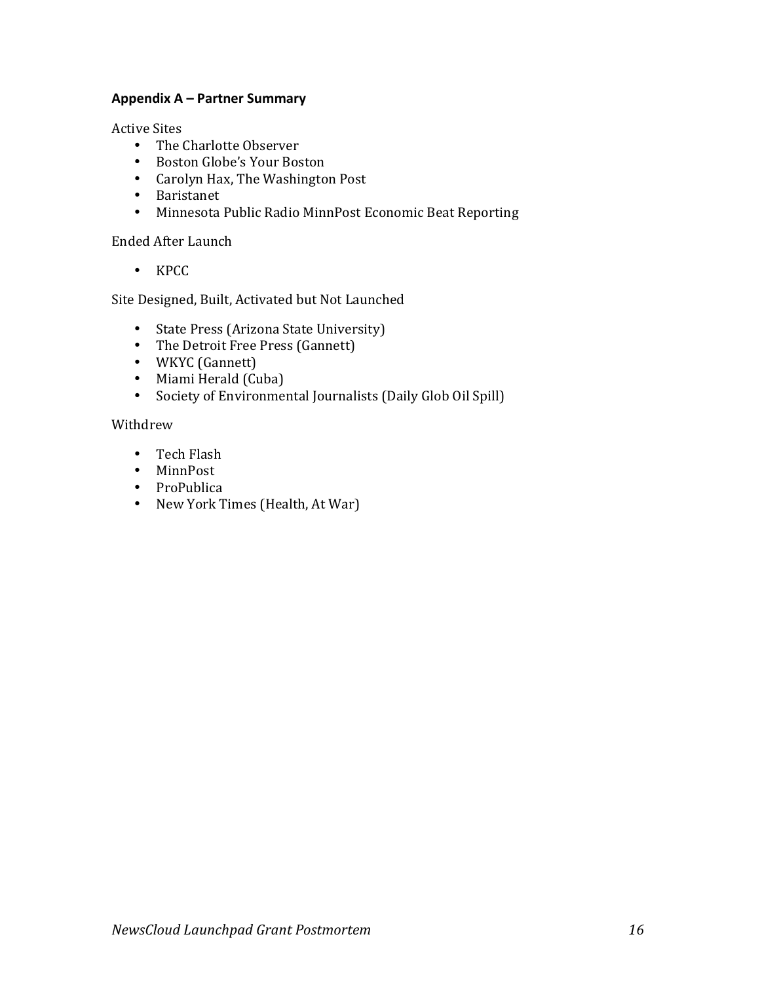#### Appendix A – Partner Summary

**Active Sites** 

- The Charlotte Observer
- Boston Globe's Your Boston
- Carolyn Hax, The Washington Post
- Baristanet
- Minnesota Public Radio MinnPost Economic Beat Reporting

#### Ended After Launch

• KPCC

Site Designed, Built, Activated but Not Launched

- State Press (Arizona State University)
- The Detroit Free Press (Gannett)
- WKYC (Gannett)
- Miami Herald (Cuba)
- Society of Environmental Journalists (Daily Glob Oil Spill)

#### Withdrew

- Tech Flash
- MinnPost
- ProPublica
- New York Times (Health, At War)